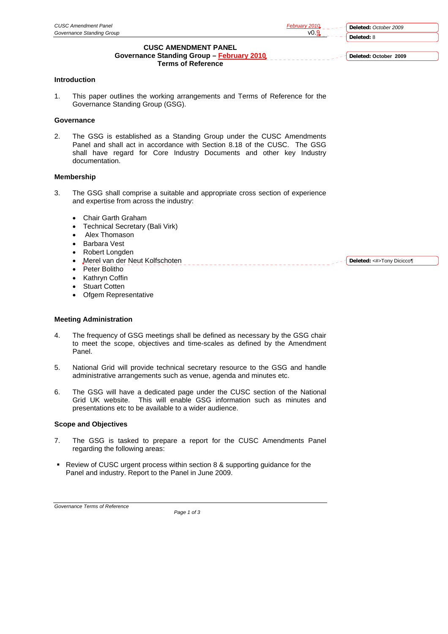**Deleted:** *October 2009* **Deleted:** 8

**Deleted: October 2009**

**Deleted:** <#>Tony Dicicco¶

# **CUSC AMENDMENT PANEL**

**Governance Standing Group – February 2010 Terms of Reference** 

## **Introduction**

1. This paper outlines the working arrangements and Terms of Reference for the Governance Standing Group (GSG).

# **Governance**

2. The GSG is established as a Standing Group under the CUSC Amendments Panel and shall act in accordance with Section 8.18 of the CUSC. The GSG shall have regard for Core Industry Documents and other key Industry documentation.

### **Membership**

3. The GSG shall comprise a suitable and appropriate cross section of experience and expertise from across the industry:

- Chair Garth Graham
- Technical Secretary (Bali Virk)
- Alex Thomason
- Barbara Vest
- Robert Longden
- Merel van der Neut Kolfschoten
- Peter Bolitho
- Kathryn Coffin
- **Stuart Cotten**
- Ofgem Representative

## **Meeting Administration**

- 4. The frequency of GSG meetings shall be defined as necessary by the GSG chair to meet the scope, objectives and time-scales as defined by the Amendment Panel.
- 5. National Grid will provide technical secretary resource to the GSG and handle administrative arrangements such as venue, agenda and minutes etc.
- 6. The GSG will have a dedicated page under the CUSC section of the National Grid UK website. This will enable GSG information such as minutes and presentations etc to be available to a wider audience.

#### **Scope and Objectives**

- 7. The GSG is tasked to prepare a report for the CUSC Amendments Panel regarding the following areas:
- Review of CUSC urgent process within section 8 & supporting guidance for the Panel and industry. Report to the Panel in June 2009.

*Governance Terms of Reference*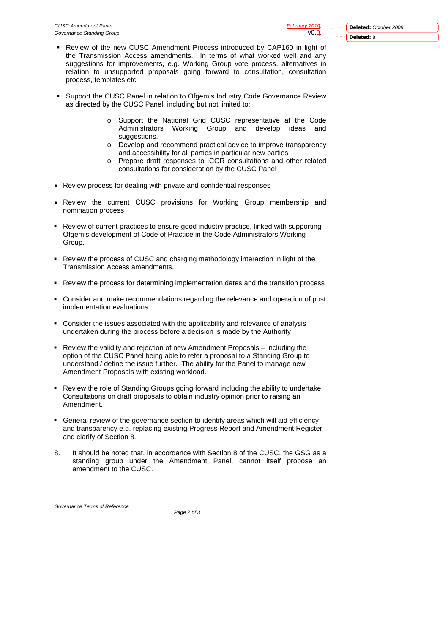- **Deleted:** 8
- Review of the new CUSC Amendment Process introduced by CAP160 in light of the Transmission Access amendments. In terms of what worked well and any suggestions for improvements, e.g. Working Group vote process, alternatives in relation to unsupported proposals going forward to consultation, consultation process, templates etc
- Support the CUSC Panel in relation to Ofgem's Industry Code Governance Review as directed by the CUSC Panel, including but not limited to:
	- o Support the National Grid CUSC representative at the Code Administrators Working Group and develop ideas and suggestions.
	- o Develop and recommend practical advice to improve transparency and accessibility for all parties in particular new parties
	- o Prepare draft responses to ICGR consultations and other related consultations for consideration by the CUSC Panel
- Review process for dealing with private and confidential responses
- Review the current CUSC provisions for Working Group membership and nomination process
- Review of current practices to ensure good industry practice, linked with supporting Ofgem's development of Code of Practice in the Code Administrators Working Group.
- Review the process of CUSC and charging methodology interaction in light of the Transmission Access amendments.
- Review the process for determining implementation dates and the transition process
- Consider and make recommendations regarding the relevance and operation of post implementation evaluations
- Consider the issues associated with the applicability and relevance of analysis undertaken during the process before a decision is made by the Authority
- Review the validity and rejection of new Amendment Proposals including the option of the CUSC Panel being able to refer a proposal to a Standing Group to understand / define the issue further. The ability for the Panel to manage new Amendment Proposals with existing workload.
- Review the role of Standing Groups going forward including the ability to undertake Consultations on draft proposals to obtain industry opinion prior to raising an Amendment.
- General review of the governance section to identify areas which will aid efficiency and transparency e.g. replacing existing Progress Report and Amendment Register and clarify of Section 8.
- 8. It should be noted that, in accordance with Section 8 of the CUSC, the GSG as a standing group under the Amendment Panel, cannot itself propose an amendment to the CUSC.

*Governance Terms of Reference*